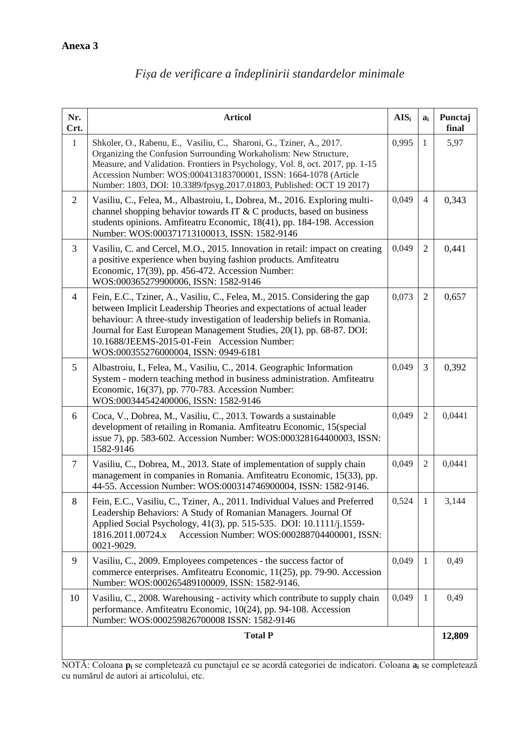| Nr.<br>Crt.    | <b>Articol</b>                                                                                                                                                                                                                                                                                                                                                                                  | $\mathbf{AIS}_{i}$ | $a_i$          | Punctaj<br>final |
|----------------|-------------------------------------------------------------------------------------------------------------------------------------------------------------------------------------------------------------------------------------------------------------------------------------------------------------------------------------------------------------------------------------------------|--------------------|----------------|------------------|
| $\mathbf{1}$   | Shkoler, O., Rabenu, E., Vasiliu, C., Sharoni, G., Tziner, A., 2017.<br>Organizing the Confusion Surrounding Workaholism: New Structure,<br>Measure, and Validation. Frontiers in Psychology, Vol. 8, oct. 2017, pp. 1-15<br>Accession Number: WOS:000413183700001, ISSN: 1664-1078 (Article<br>Number: 1803, DOI: 10.3389/fpsyg.2017.01803, Published: OCT 19 2017)                            | 0,995              | $\mathbf{1}$   | 5,97             |
| $\overline{2}$ | Vasiliu, C., Felea, M., Albastroiu, I., Dobrea, M., 2016. Exploring multi-<br>channel shopping behavior towards IT & C products, based on business<br>students opinions. Amfiteatru Economic, 18(41), pp. 184-198. Accession<br>Number: WOS:000371713100013, ISSN: 1582-9146                                                                                                                    | 0,049              | $\overline{4}$ | 0,343            |
| 3              | Vasiliu, C. and Cercel, M.O., 2015. Innovation in retail: impact on creating<br>a positive experience when buying fashion products. Amfiteatru<br>Economic, 17(39), pp. 456-472. Accession Number:<br>WOS:000365279900006, ISSN: 1582-9146                                                                                                                                                      | 0,049              | $\overline{2}$ | 0,441            |
| $\overline{4}$ | Fein, E.C., Tziner, A., Vasiliu, C., Felea, M., 2015. Considering the gap<br>between Implicit Leadership Theories and expectations of actual leader<br>behaviour: A three-study investigation of leadership beliefs in Romania.<br>Journal for East European Management Studies, 20(1), pp. 68-87. DOI:<br>10.1688/JEEMS-2015-01-Fein Accession Number:<br>WOS:000355276000004, ISSN: 0949-6181 | 0,073              | 2              | 0,657            |
| 5              | Albastroiu, I., Felea, M., Vasiliu, C., 2014. Geographic Information<br>System - modern teaching method in business administration. Amfiteatru<br>Economic, 16(37), pp. 770-783. Accession Number:<br>WOS:000344542400006, ISSN: 1582-9146                                                                                                                                                      | 0,049              | 3              | 0,392            |
| 6              | Coca, V., Dobrea, M., Vasiliu, C., 2013. Towards a sustainable<br>development of retailing in Romania. Amfiteatru Economic, 15(special<br>issue 7), pp. 583-602. Accession Number: WOS:000328164400003, ISSN:<br>1582-9146                                                                                                                                                                      | 0,049              | $\overline{2}$ | 0,0441           |
| $\tau$         | Vasiliu, C., Dobrea, M., 2013. State of implementation of supply chain<br>management in companies in Romania. Amfiteatru Economic, 15(33), pp.<br>44-55. Accession Number: WOS:000314746900004, ISSN: 1582-9146.                                                                                                                                                                                | 0,049              | $\mathfrak{2}$ | 0,0441           |
| 8              | Fein, E.C., Vasiliu, C., Tziner, A., 2011. Individual Values and Preferred<br>Leadership Behaviors: A Study of Romanian Managers. Journal Of<br>Applied Social Psychology, 41(3), pp. 515-535. DOI: 10.1111/j.1559-<br>Accession Number: WOS:000288704400001, ISSN:<br>1816.2011.00724.x<br>0021-9029.                                                                                          | 0,524              | $\mathbf{1}$   | 3,144            |
| 9              | Vasiliu, C., 2009. Employees competences - the success factor of<br>commerce enterprises. Amfiteatru Economic, 11(25), pp. 79-90. Accession<br>Number: WOS:000265489100009, ISSN: 1582-9146.                                                                                                                                                                                                    | 0,049              | 1              | 0,49             |
| 10             | Vasiliu, C., 2008. Warehousing - activity which contribute to supply chain<br>performance. Amfiteatru Economic, 10(24), pp. 94-108. Accession<br>Number: WOS:000259826700008 ISSN: 1582-9146                                                                                                                                                                                                    | 0,049              | 1              | 0,49             |
| <b>Total P</b> |                                                                                                                                                                                                                                                                                                                                                                                                 |                    |                |                  |

## *Fișa de verificare a îndeplinirii standardelor minimale*

NOTĂ: Coloana **p<sup>i</sup>** se completează cu punctajul ce se acordă categoriei de indicatori. Coloana **a<sup>i</sup>** se completează cu numărul de autori ai articolului, etc.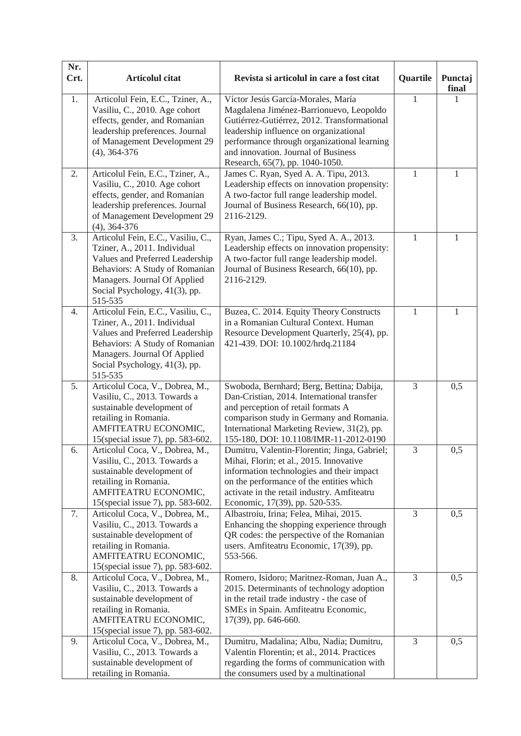| Nr.<br>Crt. | <b>Articolul citat</b>                                                                                                                                                                                              | Revista si articolul in care a fost citat                                                                                                                                                                                                                                                       | Quartile      | Punctaj<br>final |
|-------------|---------------------------------------------------------------------------------------------------------------------------------------------------------------------------------------------------------------------|-------------------------------------------------------------------------------------------------------------------------------------------------------------------------------------------------------------------------------------------------------------------------------------------------|---------------|------------------|
| 1.          | Articolul Fein, E.C., Tziner, A.,<br>Vasiliu, C., 2010. Age cohort<br>effects, gender, and Romanian<br>leadership preferences. Journal<br>of Management Development 29<br>$(4)$ , 364-376                           | Víctor Jesús García-Morales, María<br>Magdalena Jiménez-Barrionuevo, Leopoldo<br>Gutiérrez-Gutiérrez, 2012. Transformational<br>leadership influence on organizational<br>performance through organizational learning<br>and innovation. Journal of Business<br>Research, 65(7), pp. 1040-1050. | 1             |                  |
| 2.          | Articolul Fein, E.C., Tziner, A.,<br>Vasiliu, C., 2010. Age cohort<br>effects, gender, and Romanian<br>leadership preferences. Journal<br>of Management Development 29<br>$(4)$ , 364-376                           | James C. Ryan, Syed A. A. Tipu, 2013.<br>Leadership effects on innovation propensity:<br>A two-factor full range leadership model.<br>Journal of Business Research, 66(10), pp.<br>2116-2129.                                                                                                   | 1             | 1                |
| 3.          | Articolul Fein, E.C., Vasiliu, C.,<br>Tziner, A., 2011. Individual<br>Values and Preferred Leadership<br>Behaviors: A Study of Romanian<br>Managers. Journal Of Applied<br>Social Psychology, 41(3), pp.<br>515-535 | Ryan, James C.; Tipu, Syed A. A., 2013.<br>Leadership effects on innovation propensity:<br>A two-factor full range leadership model.<br>Journal of Business Research, 66(10), pp.<br>2116-2129.                                                                                                 | 1             | 1                |
| 4.          | Articolul Fein, E.C., Vasiliu, C.,<br>Tziner, A., 2011. Individual<br>Values and Preferred Leadership<br>Behaviors: A Study of Romanian<br>Managers. Journal Of Applied<br>Social Psychology, 41(3), pp.<br>515-535 | Buzea, C. 2014. Equity Theory Constructs<br>in a Romanian Cultural Context. Human<br>Resource Development Quarterly, 25(4), pp.<br>421-439. DOI: 10.1002/hrdq.21184                                                                                                                             | $\mathbf{1}$  | 1                |
| 5.          | Articolul Coca, V., Dobrea, M.,<br>Vasiliu, C., 2013. Towards a<br>sustainable development of<br>retailing in Romania.<br>AMFITEATRU ECONOMIC,<br>15(special issue 7), pp. 583-602.                                 | Swoboda, Bernhard; Berg, Bettina; Dabija,<br>Dan-Cristian, 2014. International transfer<br>and perception of retail formats A<br>comparison study in Germany and Romania.<br>International Marketing Review, 31(2), pp.<br>155-180, DOI: 10.1108/IMR-11-2012-0190                               | 3             | 0,5              |
| 6.          | Articolul Coca, V., Dobrea, M.,<br>Vasiliu, C., 2013. Towards a<br>sustainable development of<br>retailing in Romania.<br>AMFITEATRU ECONOMIC,<br>15(special issue 7), pp. 583-602.                                 | Dumitru, Valentin-Florentin; Jinga, Gabriel;<br>Mihai, Florin; et al., 2015. Innovative<br>information technologies and their impact<br>on the performance of the entities which<br>activate in the retail industry. Amfiteatru<br>Economic, 17(39), pp. 520-535.                               | $\mathfrak 3$ | 0,5              |
| 7.          | Articolul Coca, V., Dobrea, M.,<br>Vasiliu, C., 2013. Towards a<br>sustainable development of<br>retailing in Romania.<br>AMFITEATRU ECONOMIC,<br>15(special issue 7), pp. 583-602.                                 | Albastroiu, Irina; Felea, Mihai, 2015.<br>Enhancing the shopping experience through<br>QR codes: the perspective of the Romanian<br>users. Amfiteatru Economic, 17(39), pp.<br>553-566.                                                                                                         | 3             | 0,5              |
| 8.          | Articolul Coca, V., Dobrea, M.,<br>Vasiliu, C., 2013. Towards a<br>sustainable development of<br>retailing in Romania.<br>AMFITEATRU ECONOMIC,<br>15(special issue 7), pp. 583-602.                                 | Romero, Isidoro; Maritnez-Roman, Juan A.,<br>2015. Determinants of technology adoption<br>in the retail trade industry - the case of<br>SMEs in Spain. Amfiteatru Economic,<br>17(39), pp. 646-660.                                                                                             | 3             | 0,5              |
| 9.          | Articolul Coca, V., Dobrea, M.,<br>Vasiliu, C., 2013. Towards a<br>sustainable development of<br>retailing in Romania.                                                                                              | Dumitru, Madalina; Albu, Nadia; Dumitru,<br>Valentin Florentin; et al., 2014. Practices<br>regarding the forms of communication with<br>the consumers used by a multinational                                                                                                                   | 3             | 0,5              |